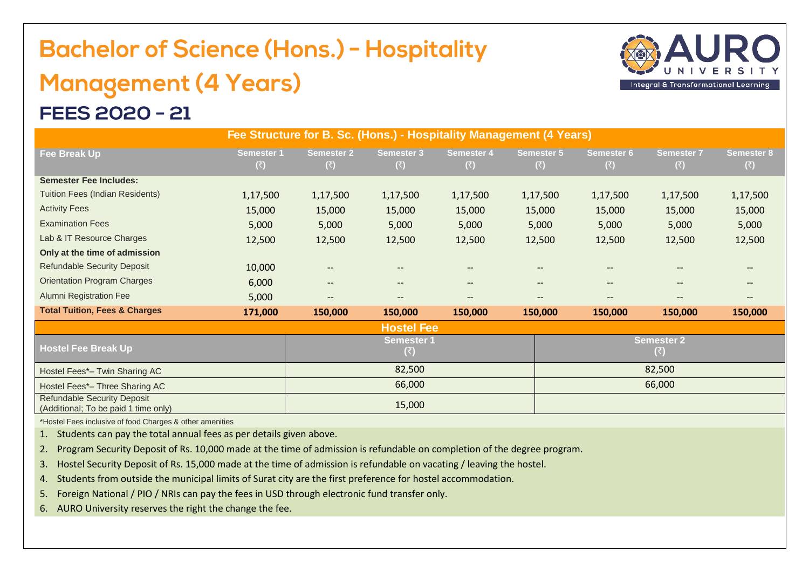## **Bachelor of Science (Hons.) - Hospitality Management (4 Years)**



## **FEES 2020 - 21**

| Fee Structure for B. Sc. (Hons.) - Hospitality Management (4 Years)        |                          |                               |                          |                               |                               |                                           |                          |                          |  |  |  |
|----------------------------------------------------------------------------|--------------------------|-------------------------------|--------------------------|-------------------------------|-------------------------------|-------------------------------------------|--------------------------|--------------------------|--|--|--|
| Fee Break Up                                                               | <b>Semester 1</b><br>(₹) | <b>Semester 2</b><br>(₹)      | <b>Semester 3</b><br>(₹) | Semester 4<br>(₹)             | <b>Semester 5</b><br>(₹)      | <b>Semester 6</b><br>(₹)                  | <b>Semester 7</b><br>(₹) | <b>Semester 8</b><br>(3) |  |  |  |
| <b>Semester Fee Includes:</b>                                              |                          |                               |                          |                               |                               |                                           |                          |                          |  |  |  |
| <b>Tuition Fees (Indian Residents)</b>                                     | 1,17,500                 | 1,17,500                      | 1,17,500                 | 1,17,500                      | 1,17,500                      | 1,17,500                                  | 1,17,500                 | 1,17,500                 |  |  |  |
| <b>Activity Fees</b>                                                       | 15,000                   | 15,000                        | 15,000                   | 15,000                        | 15,000                        | 15,000                                    | 15,000                   | 15,000                   |  |  |  |
| <b>Examination Fees</b>                                                    | 5,000                    | 5,000                         | 5,000                    | 5,000                         | 5,000                         | 5,000                                     | 5,000                    | 5,000                    |  |  |  |
| Lab & IT Resource Charges                                                  | 12,500                   | 12,500                        | 12,500                   | 12,500                        | 12,500                        | 12,500                                    | 12,500                   | 12,500                   |  |  |  |
| Only at the time of admission                                              |                          |                               |                          |                               |                               |                                           |                          |                          |  |  |  |
| <b>Refundable Security Deposit</b>                                         | 10,000                   | $\qquad \qquad -$             | --                       | --                            |                               | $\overline{\phantom{a}}$                  |                          | $\qquad \qquad -$        |  |  |  |
| <b>Orientation Program Charges</b>                                         | 6,000                    | $\hspace{0.05cm} \textbf{--}$ | --                       | $\hspace{0.05cm} \textbf{--}$ | $\hspace{0.05cm} \textbf{--}$ | $\qquad \qquad -$                         | $-$                      | $-$                      |  |  |  |
| <b>Alumni Registration Fee</b>                                             | 5,000                    | --                            | --                       | --                            | --                            | --                                        | --                       | --                       |  |  |  |
| <b>Total Tuition, Fees &amp; Charges</b>                                   | 171,000                  | 150,000                       | 150,000                  | 150,000                       | 150,000                       | 150,000                                   | 150,000                  | 150,000                  |  |  |  |
|                                                                            |                          |                               | <b>Hostel Fee</b>        |                               |                               |                                           |                          |                          |  |  |  |
| <b>Hostel Fee Break Up</b>                                                 |                          | <b>Semester 1</b><br>(₹)      |                          |                               |                               | <b>Semester 2</b><br>$(\overline{\zeta})$ |                          |                          |  |  |  |
| Hostel Fees*- Twin Sharing AC                                              |                          | 82,500                        |                          |                               |                               | 82,500                                    |                          |                          |  |  |  |
| Hostel Fees*- Three Sharing AC                                             |                          | 66,000                        |                          |                               |                               | 66,000                                    |                          |                          |  |  |  |
| <b>Refundable Security Deposit</b><br>(Additional; To be paid 1 time only) |                          | 15,000                        |                          |                               |                               |                                           |                          |                          |  |  |  |

\*Hostel Fees inclusive of food Charges & other amenities

1. Students can pay the total annual fees as per details given above.

2. Program Security Deposit of Rs. 10,000 made at the time of admission is refundable on completion of the degree program.

3. Hostel Security Deposit of Rs. 15,000 made at the time of admission is refundable on vacating / leaving the hostel.

4. Students from outside the municipal limits of Surat city are the first preference for hostel accommodation.

5. Foreign National / PIO / NRIs can pay the fees in USD through electronic fund transfer only.

6. AURO University reserves the right the change the fee.